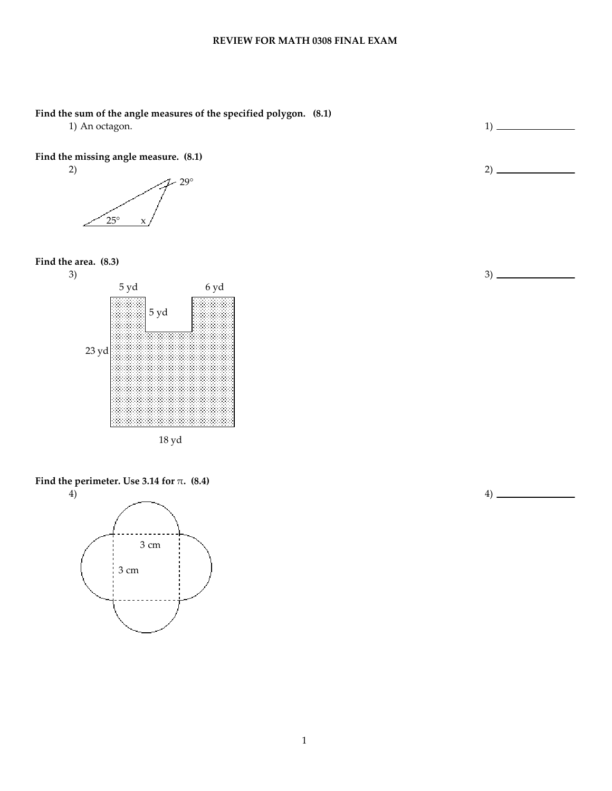### Find the sum of the angle measures of the specified polygon. (8.1)

1) An octagon. 1

## Find the missing angle measure. (8.1)



Find the area. (8.3) 3)





Find the perimeter. Use 3.14 for  $\pi$ . (8.4)



3)

2)

4)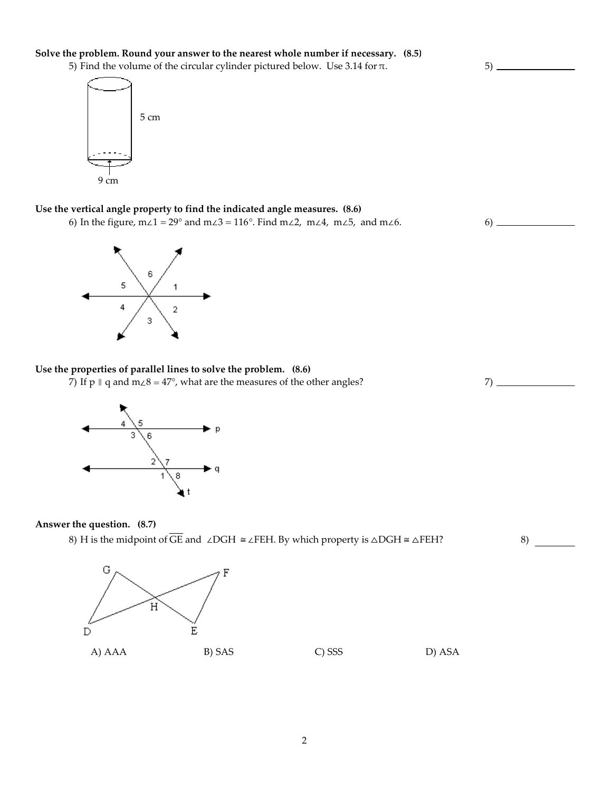### Solve the problem. Round your answer to the nearest whole number if necessary. (8.5)

5) Find the volume of the circular cylinder pictured below. Use 3.14 for π.

 $5)$  —

8)



Use the vertical angle property to find the indicated angle measures. (8.6)

6) In the figure, m∠1 = 29° and m∠3 = 116°. Find m∠2, m∠4, m∠5, and m∠6. 6) \_\_\_\_\_



# Use the properties of parallel lines to solve the problem. (8.6)

7) If p  $\parallel$  q and m∠8 = 47°, what are the measures of the other angles? 7)  $\perp$ 



#### Answer the question. (8.7)

8) H is the midpoint of  $\overline{GE}$  and ∠DGH  $\cong \angle$ FEH. By which property is  $\triangle$ DGH  $\cong \triangle$ FEH?

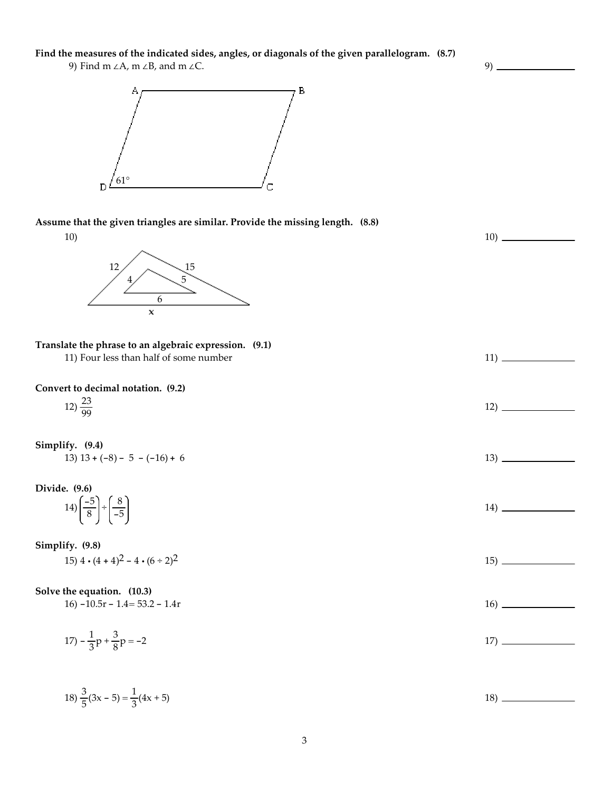Find the measures of the indicated sides, angles, or diagonals of the given parallelogram. (8.7)

9) Find m ∠A, m ∠B, and m ∠C.



Assume that the given triangles are similar. Provide the missing length. (8.8)



10)

 $9)$   $-$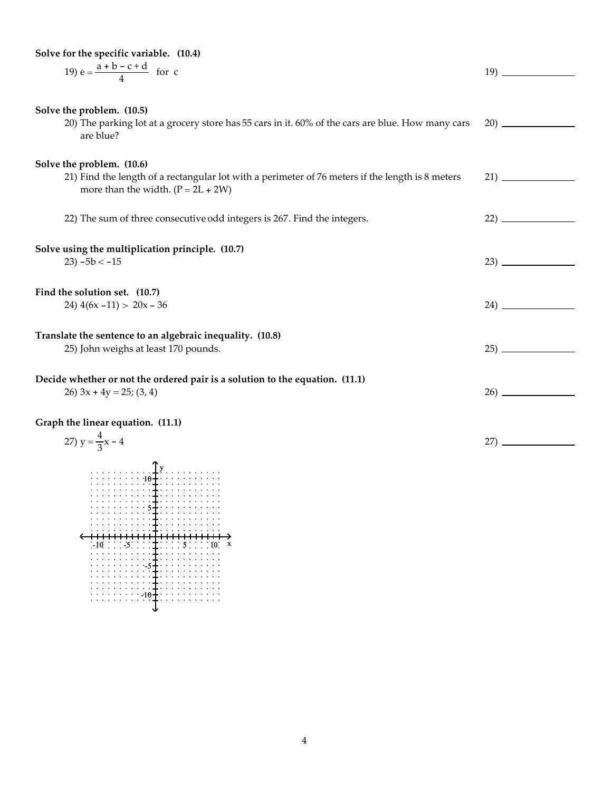| Solve for the specific variable. (10.4)                                                                                                  |     |
|------------------------------------------------------------------------------------------------------------------------------------------|-----|
| 19) $e = \frac{a + b - c + d}{4}$ for c                                                                                                  |     |
|                                                                                                                                          |     |
|                                                                                                                                          |     |
| Solve the problem. (10.5)                                                                                                                |     |
| 20) The parking lot at a grocery store has 55 cars in it. 60% of the cars are blue. How many cars                                        |     |
| are blue?                                                                                                                                |     |
|                                                                                                                                          |     |
| Solve the problem. (10.6)                                                                                                                |     |
| 21) Find the length of a rectangular lot with a perimeter of 76 meters if the length is 8 meters<br>more than the width. $(P = 2L + 2W)$ |     |
|                                                                                                                                          |     |
| 22) The sum of three consecutive odd integers is 267. Find the integers.                                                                 |     |
|                                                                                                                                          |     |
|                                                                                                                                          |     |
| Solve using the multiplication principle. (10.7)<br>$23) - 5b < -15$                                                                     |     |
|                                                                                                                                          |     |
| Find the solution set. (10.7)                                                                                                            |     |
| 24) $4(6x - 11) > 20x - 36$                                                                                                              |     |
|                                                                                                                                          |     |
| Translate the sentence to an algebraic inequality. (10.8)                                                                                |     |
| 25) John weighs at least 170 pounds.                                                                                                     |     |
|                                                                                                                                          |     |
|                                                                                                                                          |     |
| Decide whether or not the ordered pair is a solution to the equation. (11.1)<br>26) $3x + 4y = 25$ ; (3, 4)                              |     |
|                                                                                                                                          |     |
| Graph the linear equation. (11.1)                                                                                                        |     |
|                                                                                                                                          |     |
| 27) $y = \frac{4}{3}x - 4$                                                                                                               | 27) |
|                                                                                                                                          |     |
| $\frac{1}{2}$                                                                                                                            |     |
|                                                                                                                                          |     |

 $-10$  (10  $-5$ ) (10  $\pm$  10  $\pm$  10  $\pm$  5  $\pm$  10  $\pm$  10  $\pm$   $\in$   $\in$ 

5

-5

-10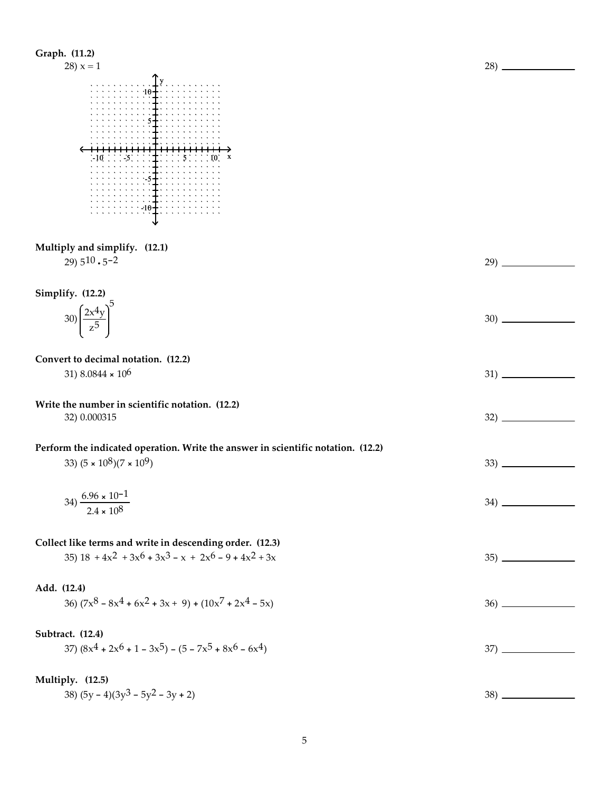| Graph. (11.2)<br>$28) x = 1$                                                                                             | $28)$ $-$ |
|--------------------------------------------------------------------------------------------------------------------------|-----------|
| $\frac{1}{2}$<br>3. <b>1</b> .<br>$\div 10 \pm \cdots$                                                                   |           |
| Multiply and simplify. (12.1)<br>29) $5^{10} \cdot 5^{-2}$                                                               |           |
| Simplify. (12.2)<br>$30\left(\frac{2x^4y}{z^5}\right)^5$                                                                 | $30)$ $-$ |
| Convert to decimal notation. (12.2)<br>31) 8.0844 $\times$ 10 <sup>6</sup>                                               |           |
| Write the number in scientific notation. (12.2)<br>32) 0.000315                                                          |           |
| Perform the indicated operation. Write the answer in scientific notation. (12.2)<br>33) $(5 \times 10^8)(7 \times 10^9)$ | 33)       |
| 34) $\frac{6.96 \times 10^{-1}}{2.4 \times 10^8}$                                                                        |           |
| Collect like terms and write in descending order. (12.3)<br>35) $18 + 4x^2 + 3x^6 + 3x^3 - x + 2x^6 - 9 + 4x^2 + 3x$     |           |
| Add. (12.4)<br>36) $(7x^8 - 8x^4 + 6x^2 + 3x + 9) + (10x^7 + 2x^4 - 5x)$                                                 |           |
| Subtract. (12.4)<br>37) $(8x^4 + 2x^6 + 1 - 3x^5) - (5 - 7x^5 + 8x^6 - 6x^4)$                                            |           |
| Multiply. (12.5)<br>38) $(5y - 4)(3y^3 - 5y^2 - 3y + 2)$                                                                 |           |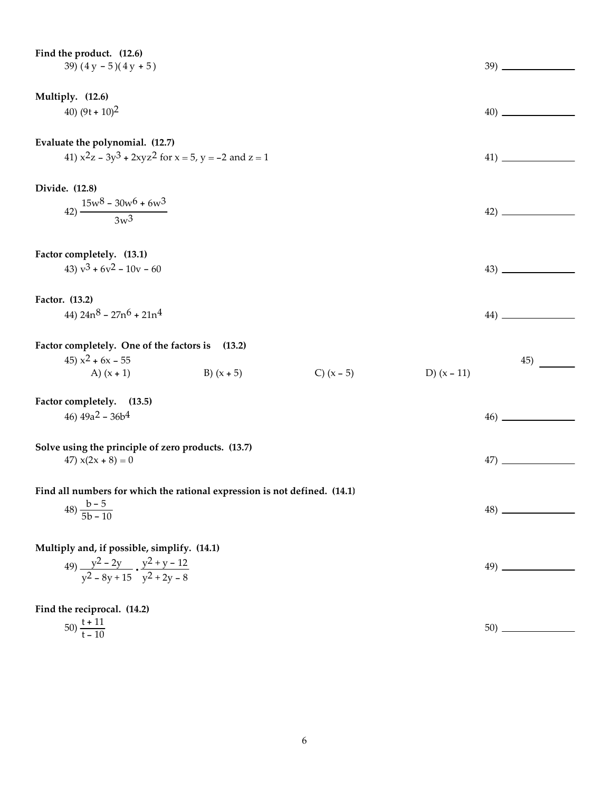| Factor completely. One of the factors is                                     | (13.2)                                                                                                                                                                                                                                           |                                                               |               |     |                                            |
|------------------------------------------------------------------------------|--------------------------------------------------------------------------------------------------------------------------------------------------------------------------------------------------------------------------------------------------|---------------------------------------------------------------|---------------|-----|--------------------------------------------|
| 45) $x^2$ + 6x – 55                                                          |                                                                                                                                                                                                                                                  |                                                               |               | 45) |                                            |
| A) $(x + 1)$                                                                 | B) $(x + 5)$                                                                                                                                                                                                                                     | C) $(x - 5)$                                                  | D) $(x - 11)$ |     |                                            |
| Factor completely. (13.5)                                                    |                                                                                                                                                                                                                                                  |                                                               |               |     |                                            |
| 46) $49a^2 - 36b^4$                                                          |                                                                                                                                                                                                                                                  |                                                               |               | 46) |                                            |
|                                                                              |                                                                                                                                                                                                                                                  |                                                               |               |     |                                            |
| Solve using the principle of zero products. (13.7)                           |                                                                                                                                                                                                                                                  |                                                               |               |     |                                            |
| 47) $x(2x + 8) = 0$                                                          |                                                                                                                                                                                                                                                  |                                                               |               | 47) |                                            |
|                                                                              |                                                                                                                                                                                                                                                  |                                                               |               |     |                                            |
|                                                                              | Find all numbers for which the rational expression is not defined. (14.1)                                                                                                                                                                        |                                                               |               |     |                                            |
|                                                                              |                                                                                                                                                                                                                                                  |                                                               |               |     |                                            |
|                                                                              |                                                                                                                                                                                                                                                  |                                                               |               |     |                                            |
| Multiply and, if possible, simplify. (14.1)                                  |                                                                                                                                                                                                                                                  |                                                               |               |     |                                            |
|                                                                              |                                                                                                                                                                                                                                                  |                                                               |               |     |                                            |
| 49) $\frac{y^2 - 2y}{y^2 - 8y + 15} \cdot \frac{y^2 + y - 12}{y^2 + 2y - 8}$ |                                                                                                                                                                                                                                                  |                                                               |               |     |                                            |
|                                                                              |                                                                                                                                                                                                                                                  |                                                               |               |     |                                            |
| Find the reciprocal. (14.2)                                                  |                                                                                                                                                                                                                                                  |                                                               |               |     |                                            |
|                                                                              | Find the product. (12.6)<br>39) $(4y - 5)(4y + 5)$<br>40) $(9t + 10)^2$<br>Evaluate the polynomial. (12.7)<br>$42) \frac{15w^8 - 30w^6 + 6w^3}{3w^3}$<br>Factor completely. (13.1)<br>43) $v^3 + 6v^2 - 10v - 60$<br>44) $24n^8 - 27n^6 + 21n^4$ | 41) $x^2z - 3y^3 + 2xyz^2$ for $x = 5$ , $y = -2$ and $z = 1$ |               |     | $39)$ $-$<br>$\left( \frac{42}{2} \right)$ |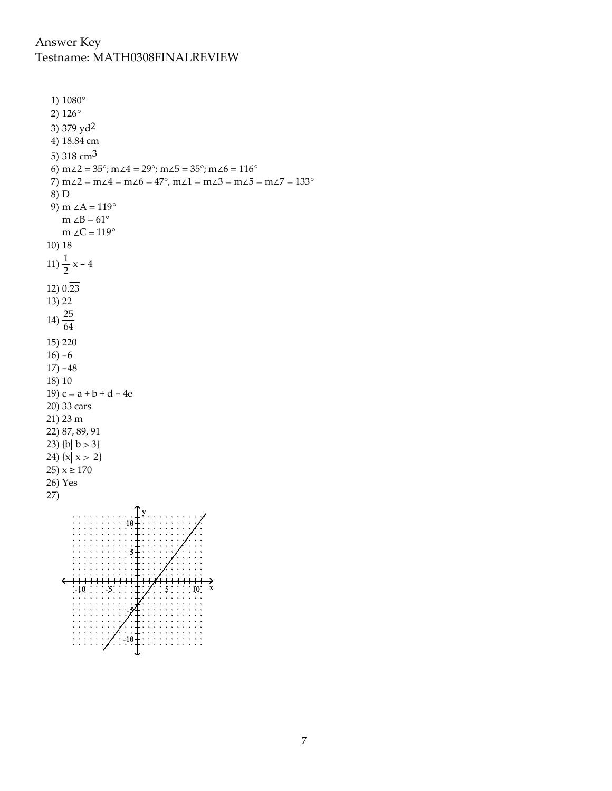## Answer Key Testname: MATH0308FINALREVIEW

```
1) 1080^\circ2) 126^{\circ}3) 379 yd<sup>2</sup>
 4) 18.84 cm
 5) 318 \text{cm}^36) m\angle 2 = 35^\circ; m\angle 4 = 29^\circ; m\angle 5 = 35^\circ; m\angle 6 = 116^\circ7) m\angle 2 = m\angle 4 = m\angle 6 = 47^{\circ}, m\angle 1 = m\angle 3 = m\angle 5 = m\angle 7 = 133^{\circ}8) D
 9) m \angle A = 119^{\circ}m \angle B = 61^{\circ}m \angle C = 119^\circ10) 18
11) \frac{1}{2} x - 4
12) 0.\overline{23}13) 22
14) \frac{25}{64}15) 220
16 - 617) -4818) 10
19) c = a + b + d - 4e20) 33 cars
21) 23 m
22) 87, 89, 91
23) {b| b > 3}
24) \{x \mid x > 2\}25) x \ge 17026) Yes
27)
```